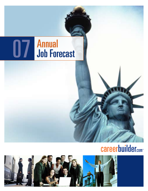# 07 Annual Job Forecast

## **careerbuilder.com**

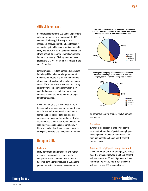## 2007 Job Forecast

Recent reports from the U.S. Labor Department indicate that while the expansion of the U.S. economy is slowing, it is doing so at a reasonable pace, and inflation has steadied. A moderated, yet stable, job market is expected to carry over into 2007 with gains that will remain strong enough to keep the unemployment rate in check. University of Michigan economists predict the U.S. will create 1.5 million jobs in the next 12 months.

Employers expect to face continued challenges in finding skilled labor as a large number of Baby Boomers retire and smaller generations of replacement workers fall short of headcount quotas. Forty percent of employers report they currently have job openings for which they can't find qualified candidates. One-in-four estimate it takes them two months or longer to fill their positions.

Going into 2007, the U.S. workforce is likely to see employers become more competitive in recruitment and retention efforts evident in higher salaries, better training and career advancement opportunities, and more flexible work cultures. Other major trends to watch for include overseas expansions, particularly in China and India; diversity recruitment, especially of Hispanic workers; and the rehiring of retirees.

## Hiring in 2007

#### Full-time

Forty percent of hiring managers and human resource professionals in private sector companies plan to increase their number of full-time, permanent employees in 2007. Eight percent expect to decrease headcount while





40 percent expect no change. Twelve percent are unsure.

#### Part-time

Twenty-three percent of employers plan to increase their number of part-time employees while 5 percent anticipate a decrease. More than half expect no change and 16 percent remain unsure.

#### Amount of Employees Being Recruited

While more than one-third of employers expect to add 10 or less employees in 2007, 29 percent will hire more than 50 and 20 percent will hire more than 100. Nearly one-in-ten employers will hire north of 500 new employees.

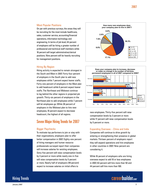#### Most Popular Positions

On par with previous surveys, the areas they will be recruiting for the most include healthcare, sales, customer service, accounting/financial operations, information technology and engineering. In terms of job level, 44 percent of employers will be hiring a greater number of professional and technical staff members while 18 percent will target administrative/clerical positions. Nine percent will be heavily recruiting for management positions.



#### Hiring By Region

Hiring activity is expected to remain strongest in the South and West in 2007. Forty-four percent of employers in the South plan to add new employees while 7 percent expect leaner staffs. Forty-one percent of employers in the West plan to add headcount while 6 percent expect leaner staffs. The Northeast and Midwest continue to lag behind the other regions in projected job growth. Thirty-six percent of employers in the Northeast plan to add employees while 7 percent will let employees go. While 38 percent of employers in the Midwest plan to hire new employees, 10 percent expect to decrease headcount, the highest of all regions.

## Seven Major Hiring Trends for 2007

#### Bigger Paychecks

To motivate top performers to join or stay with their organizations, employers plan to offer better compensation in 2007. Eighty-one percent of hiring managers and human resource professionals surveyed report their companies will increase salaries for existing employees. Sixty-five percent will raise compensation levels by 3 percent or more while nearly one-in-five will raise compensation levels by 5 percent or more. Nearly half of employers (49 percent) expect to increase salaries on initial offers to



**or make no change in its number of full-time,** 

**3.5%** by 5 percent or more. compensation new employees. Thirty-five percent will raise **8.8%** while 17 percent will raise compensation levels compensation levels by 3 percent or more **in salaries on initial job offers for new employeees in 2007?** by 5 percent o while 17 perc

#### Expanding Overseas - China and India **5.1%** Increase

entering or strengthening their presence in global **3.9% 9.5%** markets. Thirteen percent of employers report they will expand operations and hire employees Increase **Companies will continue to drive growth by** in other countries in 2007. Nine percent are considering it. 0% 5% 10% 15% 20% 25% 30% 35% entering or strengthening t **4.1%** 1%

While 16 percent of employers who are hiring overseas expect to add 10 or less employees in 2007, 63 percent will hire more than 50 and 44 percent will hire more than 100.

## **careerbuilder.com-**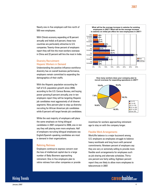Nearly one-in-five employers will hire north of 500 new employees.

With China's economy expanding at 10 percent annually and India's at 8 percent, these two countries are particularly attractive to U.S. companies. Twenty-three percent of employers report they will hire the most workers overseas in China and 22 percent will hire the most in India.

### Diversity Recruitment: Hispanic Workers in Demand

Understanding the positive influence workforce diversity has on overall business performance, employers remain committed to expanding the demographics of their staffs.

With the Hispanic population accounting for half of U.S. population growth since 2000, according to the U.S. Census Bureau, and buying power growing 8 percent annually, one-in-ten employers report they will be targeting Hispanic job candidates most aggressively of all diverse segments. Nine percent plan to step up diversity recruiting for African American job candidates while 8 percent will target female job candidates.

While the vast majority of employers will place the same emphasis on hiring bilingual candidates in 2007 compared to 2006, one-in-ten say they will placing even more emphasis. Half of employers recruiting bilingual employees say English/Spanish-speaking candidates are most in demand in their organizations.

#### Rehiring Retirees

Employers continue to express concern over the loss of intellectual capital due to a large number of Baby Boomers approaching retirement. One-in-five employers plan to rehire retirees from other companies or provide





incentives for workers approaching retirement **1.7%** Other age to stay on with the company longer.

### **Flexible Work Arrangements**

Work/life balance is a major buzzword among U.S. employers as employees struggle to balance **5.2%** Asian heavy workloads and long hours with personal **8.3%** commitments. Nineteen percent of employers say they are very or extremely willing to provide more **9.8%** Hispanic flexible work arrangements for employees such as job sharing and alternate schedules. Thirtyone percent are fairly willing. Eighteen percent report they are likely to allow more employees to telecommute in 2007. **to stay with your company beyond retirement age in 2007?**  rouv<sub>i</sub>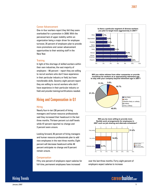#### Career Advancement

One-in-four workers report they felt they were overlooked for a promotion in 2006. With the perceived lack of upper mobility within an organization being a major driver for employee turnover, 35 percent of employers plan to provide more promotions and career advancement opportunities to their existing staff in the New Year.

#### **Training**

In light of the shortage of skilled workers within their own industries, the vast majority of employers  $-86$  percent – report they are willing to recruit workers who don't have experience in their particular industry or field, but have transferable skills. Seventy-eight percent report they are willing to recruit workers who don't have experience in their particular industry or field and provide training/certifications needed.

## Hiring and Compensation in Q1

#### Hiring

Nearly four-in-ten (38 percent) of hiring managers and human resource professionals said they increased their headcount in the last three months. Thirteen percent cut staff levels while 47 percent reported no change and 3 percent were unsure.

Looking forward, 36 percent of hiring managers and human resource professionals plan to add new employees in the next three months. Eight percent will decrease headcount while 48 percent anticipate no change and 9 percent remain unsure.

#### **Compensation**

Fifty-one percent of employers report salaries for full-time, permanent employees have increased



**Will you rehire retirees from other companies or provide incentives for workers at or approaching retirement age to stay with your company beyond retirement age in 2007? 18.7%**





over the last three months. Forty-eight percent of employers expect salaries to increase

careerbuilder.com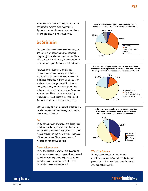in the next three months. Thirty-eight percent estimate the average raise to amount to 3 percent or more while one-in-ten anticipate an average raise of 5 percent or more.

## Job Satisfaction

As economic expansion slows and employers implement more robust employee retention programs, job satisfaction is on the rise. Sixtyeight percent of workers say they are satisfied with their jobs; just 18 percent are dissatisfied.

However, as the labor pool shrinks and companies more aggressively recruit new additions to their teams, workers are seeking out bigger, better deals. Thirty-one percent of workers plan to change jobs within the next two years. Nearly half are leaving their jobs to find a position with better pay and/or career advancement. Eleven percent are electing to change careers, 9 percent are retiring and 6 percent plan to start their own business.

Looking at key job factors that will influence job satisfaction and company loyalty, respondents reported the following:

#### Pay

Thirty-three percent of workers are dissatisfied with their pay. Twenty-six percent of workers did not receive a raise in 2006. Of those who did receive one, one-in-five were given an increase of 2 percent or less. Sixty-seven percent of workers did not receive a bonus.

#### Career Advancement

Thirty-five percent of workers are dissatisfied with career advancement opportunities provided by their current employers. Eighty-five percent did not receive a promotion in 2006 and 26 percent felt they were overlooked.



Will you be willing to recruit workers who don't have **experience in your particular industry or field and provide training/certifications needed for your open positions? 4.0% training to recruit workers who don't have** 

**Will you be willing to recruit workers who don't have** 





#### Work/Life Balance

**Twenty-seven percent of workers are** dissatisfied with work/life balance. Forty-five **16.4% 14.4%** percent report their workloads have increased over the last six months. **3.1%**